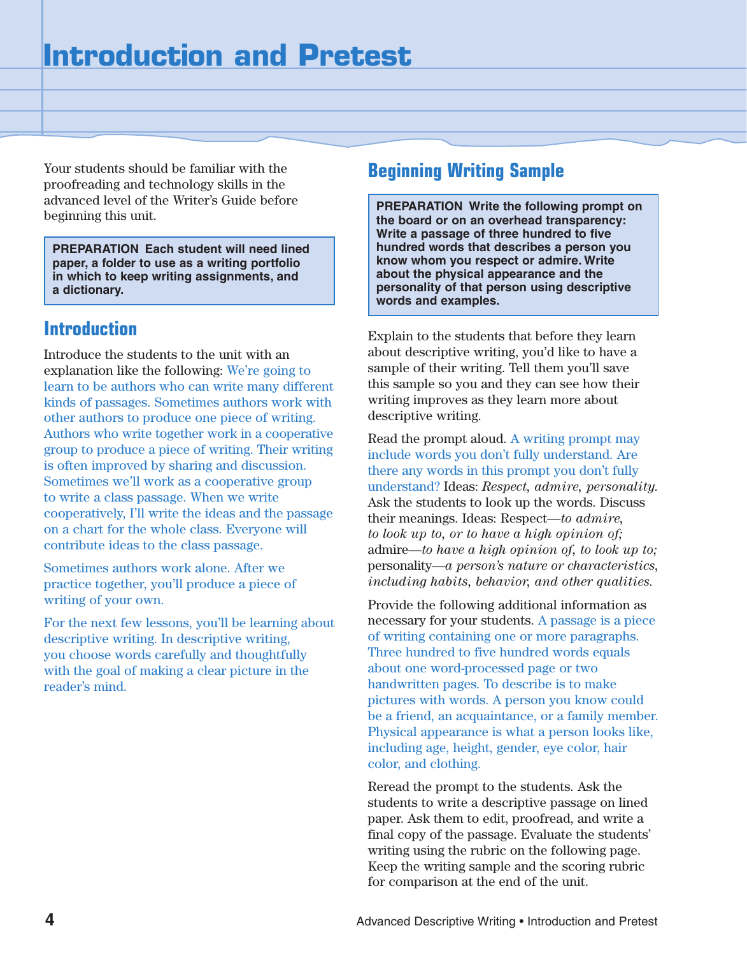Your students should be familiar with the proofreading and technology skills in the advanced level of the Writer's Guide before beginning this unit.

**PREPARATION Each student will need lined paper, a folder to use as a writing portfolio in which to keep writing assignments, and a dictionary.**

## **Introduction**

Introduce the students to the unit with an explanation like the following: We're going to learn to be authors who can write many different kinds of passages. Sometimes authors work with other authors to produce one piece of writing. Authors who write together work in a cooperative group to produce a piece of writing. Their writing is often improved by sharing and discussion. Sometimes we'll work as a cooperative group to write a class passage. When we write cooperatively, I'll write the ideas and the passage on a chart for the whole class. Everyone will contribute ideas to the class passage.

Sometimes authors work alone. After we practice together, you'll produce a piece of writing of your own.

For the next few lessons, you'll be learning about descriptive writing. In descriptive writing, you choose words carefully and thoughtfully with the goal of making a clear picture in the reader's mind.

## **Beginning Writing Sample**

**PREPARATION Write the following prompt on the board or on an overhead transparency: Write a passage of three hundred to five hundred words that describes a person you know whom you respect or admire. Write about the physical appearance and the personality of that person using descriptive words and examples.**

Explain to the students that before they learn about descriptive writing, you'd like to have a sample of their writing. Tell them you'll save this sample so you and they can see how their writing improves as they learn more about descriptive writing.

Read the prompt aloud. A writing prompt may include words you don't fully understand. Are there any words in this prompt you don't fully understand? Ideas: *Respect, admire, personality.* Ask the students to look up the words. Discuss their meanings. Ideas: Respect—*to admire, to look up to, or to have a high opinion of;* admire—*to have a high opinion of, to look up to;* personality—*a person's nature or characteristics, including habits, behavior, and other qualities.*

Provide the following additional information as necessary for your students. A passage is a piece of writing containing one or more paragraphs. Three hundred to five hundred words equals about one word-processed page or two handwritten pages. To describe is to make pictures with words. A person you know could be a friend, an acquaintance, or a family member. Physical appearance is what a person looks like, including age, height, gender, eye color, hair color, and clothing.

Reread the prompt to the students. Ask the students to write a descriptive passage on lined paper. Ask them to edit, proofread, and write a final copy of the passage. Evaluate the students' writing using the rubric on the following page. Keep the writing sample and the scoring rubric for comparison at the end of the unit.